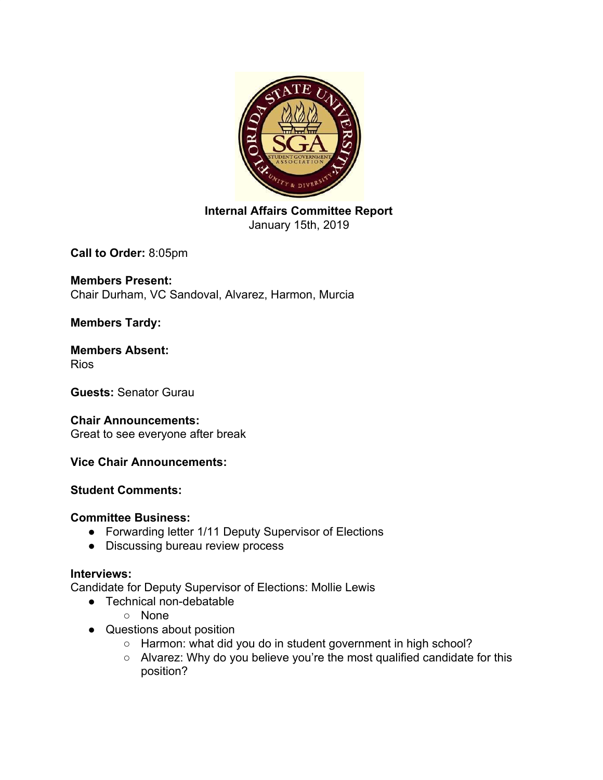

**Internal Affairs Committee Report** January 15th, 2019

**Call to Order:** 8:05pm

**Members Present:** Chair Durham, VC Sandoval, Alvarez, Harmon, Murcia

**Members Tardy:**

**Members Absent:** Rios

**Guests:** Senator Gurau

## **Chair Announcements:**

Great to see everyone after break

## **Vice Chair Announcements:**

## **Student Comments:**

#### **Committee Business:**

- Forwarding letter 1/11 Deputy Supervisor of Elections
- Discussing bureau review process

## **Interviews:**

Candidate for Deputy Supervisor of Elections: Mollie Lewis

- Technical non-debatable
	- None
- Questions about position
	- Harmon: what did you do in student government in high school?
	- Alvarez: Why do you believe you're the most qualified candidate for this position?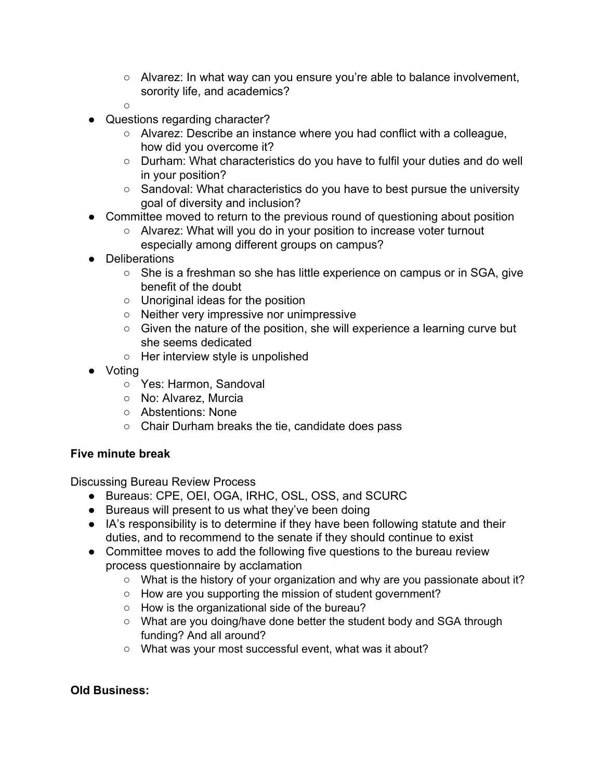- Alvarez: In what way can you ensure you're able to balance involvement, sorority life, and academics?
- $\circ$
- Questions regarding character?
	- Alvarez: Describe an instance where you had conflict with a colleague, how did you overcome it?
	- Durham: What characteristics do you have to fulfil your duties and do well in your position?
	- Sandoval: What characteristics do you have to best pursue the university goal of diversity and inclusion?
- Committee moved to return to the previous round of questioning about position
	- Alvarez: What will you do in your position to increase voter turnout especially among different groups on campus?
- Deliberations
	- She is a freshman so she has little experience on campus or in SGA, give benefit of the doubt
	- Unoriginal ideas for the position
	- Neither very impressive nor unimpressive
	- Given the nature of the position, she will experience a learning curve but she seems dedicated
	- Her interview style is unpolished
- Voting
	- Yes: Harmon, Sandoval
	- No: Alvarez, Murcia
	- Abstentions: None
	- Chair Durham breaks the tie, candidate does pass

# **Five minute break**

Discussing Bureau Review Process

- Bureaus: CPE, OEI, OGA, IRHC, OSL, OSS, and SCURC
- Bureaus will present to us what they've been doing
- IA's responsibility is to determine if they have been following statute and their duties, and to recommend to the senate if they should continue to exist
- Committee moves to add the following five questions to the bureau review process questionnaire by acclamation
	- What is the history of your organization and why are you passionate about it?
	- How are you supporting the mission of student government?
	- How is the organizational side of the bureau?
	- What are you doing/have done better the student body and SGA through funding? And all around?
	- What was your most successful event, what was it about?

## **Old Business:**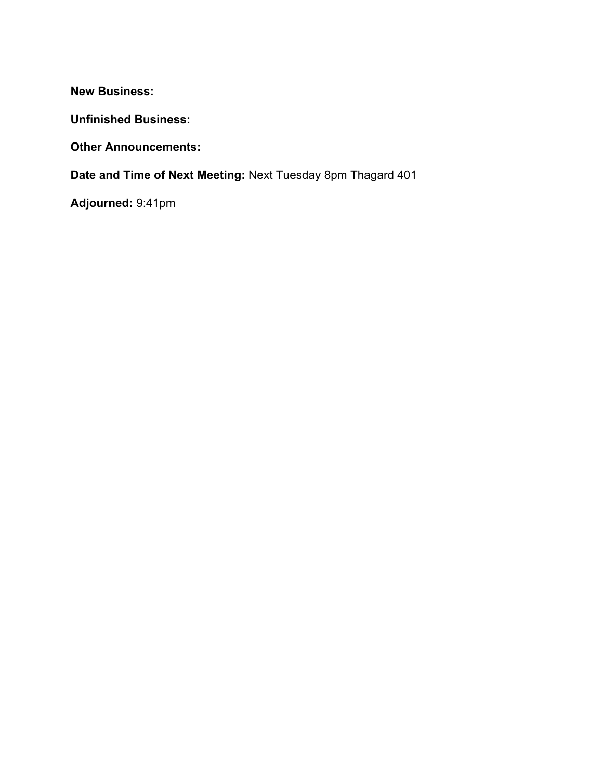**New Business:**

**Unfinished Business:**

**Other Announcements:**

**Date and Time of Next Meeting:** Next Tuesday 8pm Thagard 401

**Adjourned:** 9:41pm